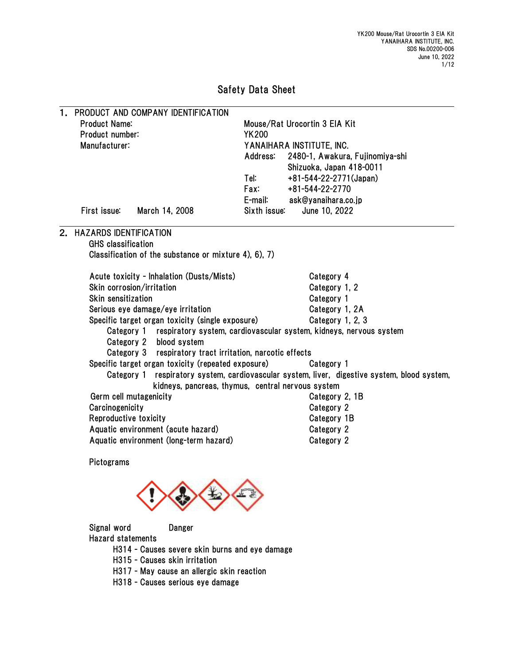# Safety Data Sheet

| 1. | PRODUCT AND COMPANY IDENTIFICATION                                                              |              |                                                                            |  |  |  |  |
|----|-------------------------------------------------------------------------------------------------|--------------|----------------------------------------------------------------------------|--|--|--|--|
|    | <b>Product Name:</b>                                                                            |              | Mouse/Rat Urocortin 3 EIA Kit<br><b>YK200</b><br>YANAIHARA INSTITUTE, INC. |  |  |  |  |
|    | Product number:                                                                                 |              |                                                                            |  |  |  |  |
|    | Manufacturer:                                                                                   |              |                                                                            |  |  |  |  |
|    |                                                                                                 | Address:     | 2480-1, Awakura, Fujinomiya-shi                                            |  |  |  |  |
|    |                                                                                                 |              | Shizuoka, Japan 418-0011                                                   |  |  |  |  |
|    |                                                                                                 | Tel:         | +81-544-22-2771(Japan)                                                     |  |  |  |  |
|    |                                                                                                 | Fax:         | +81-544-22-2770<br>ask@yanaihara.co.jp                                     |  |  |  |  |
|    |                                                                                                 | E-mail:      |                                                                            |  |  |  |  |
|    | First issue:<br>March 14, 2008                                                                  | Sixth issue: | June 10, 2022                                                              |  |  |  |  |
| 2. | <b>HAZARDS IDENTIFICATION</b>                                                                   |              |                                                                            |  |  |  |  |
|    | <b>GHS</b> classification                                                                       |              |                                                                            |  |  |  |  |
|    | Classification of the substance or mixture 4), 6), 7)                                           |              |                                                                            |  |  |  |  |
|    | Acute toxicity - Inhalation (Dusts/Mists)                                                       |              | Category 4                                                                 |  |  |  |  |
|    | Skin corrosion/irritation                                                                       |              | Category 1, 2                                                              |  |  |  |  |
|    | Skin sensitization                                                                              |              | Category 1                                                                 |  |  |  |  |
|    | Serious eye damage/eye irritation                                                               |              | Category 1, 2A                                                             |  |  |  |  |
|    | Specific target organ toxicity (single exposure)                                                |              | Category 1, 2, 3                                                           |  |  |  |  |
|    | Category 1 respiratory system, cardiovascular system, kidneys, nervous system                   |              |                                                                            |  |  |  |  |
|    | Category 2 blood system                                                                         |              |                                                                            |  |  |  |  |
|    | Category 3 respiratory tract irritation, narcotic effects                                       |              |                                                                            |  |  |  |  |
|    | Specific target organ toxicity (repeated exposure)<br>Category 1                                |              |                                                                            |  |  |  |  |
|    | respiratory system, cardiovascular system, liver, digestive system, blood system,<br>Category 1 |              |                                                                            |  |  |  |  |
|    | kidneys, pancreas, thymus, central nervous system                                               |              |                                                                            |  |  |  |  |
|    | Germ cell mutagenicity                                                                          |              | Category 2, 1B                                                             |  |  |  |  |
|    | Carcinogenicity                                                                                 |              | Category 2                                                                 |  |  |  |  |
|    | Reproductive toxicity                                                                           |              | Category 1B                                                                |  |  |  |  |
|    | Aquatic environment (acute hazard)                                                              |              | Category 2                                                                 |  |  |  |  |
|    | Aquatic environment (long-term hazard)                                                          |              | Category 2                                                                 |  |  |  |  |
|    | Pictograms                                                                                      |              |                                                                            |  |  |  |  |
|    | $\mathbf{A} \quad \mathbf{A} \quad \mathbf{A} \quad \mathbf{A}$                                 |              |                                                                            |  |  |  |  |
|    | Signal word<br><b>Danger</b><br><b>Hazard statements</b>                                        |              |                                                                            |  |  |  |  |
|    | H314 - Causes severe skin burns and eye damage                                                  |              |                                                                            |  |  |  |  |

- H315 Causes skin irritation
- H317 May cause an allergic skin reaction
- H318 Causes serious eye damage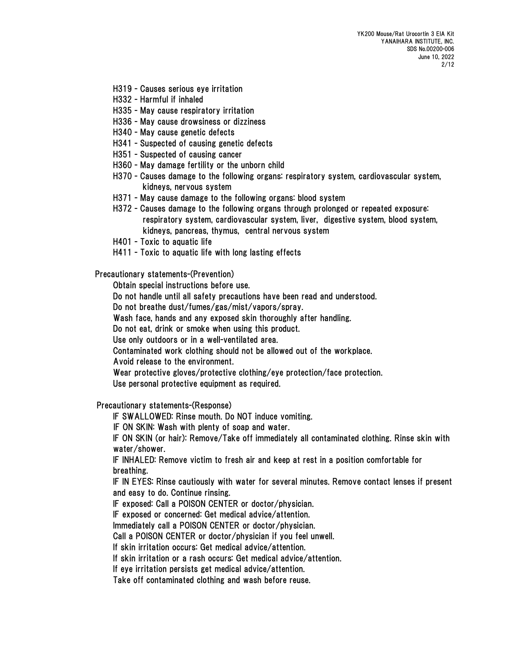- H319 Causes serious eye irritation
- H332 Harmful if inhaled
- H335 May cause respiratory irritation
- H336 May cause drowsiness or dizziness
- H340 May cause genetic defects
- H341 Suspected of causing genetic defects
- H351 Suspected of causing cancer
- H360 May damage fertility or the unborn child
- H370 Causes damage to the following organs: respiratory system, cardiovascular system, kidneys, nervous system
- H371 May cause damage to the following organs: blood system
- H372 Causes damage to the following organs through prolonged or repeated exposure: respiratory system, cardiovascular system, liver, digestive system, blood system, kidneys, pancreas, thymus, central nervous system
- H401 Toxic to aquatic life
- H411 Toxic to aquatic life with long lasting effects

Precautionary statements-(Prevention)

Obtain special instructions before use.

Do not handle until all safety precautions have been read and understood.

Do not breathe dust/fumes/gas/mist/vapors/spray.

Wash face, hands and any exposed skin thoroughly after handling.

Do not eat, drink or smoke when using this product.

Use only outdoors or in a well-ventilated area.

Contaminated work clothing should not be allowed out of the workplace.

Avoid release to the environment.

Wear protective gloves/protective clothing/eye protection/face protection.

Use personal protective equipment as required.

Precautionary statements-(Response)

IF SWALLOWED: Rinse mouth. Do NOT induce vomiting.

IF ON SKIN: Wash with plenty of soap and water.

IF ON SKIN (or hair): Remove/Take off immediately all contaminated clothing. Rinse skin with water/shower.

IF INHALED: Remove victim to fresh air and keep at rest in a position comfortable for breathing.

IF IN EYES: Rinse cautiously with water for several minutes. Remove contact lenses if present and easy to do. Continue rinsing.

IF exposed: Call a POISON CENTER or doctor/physician.

IF exposed or concerned: Get medical advice/attention.

Immediately call a POISON CENTER or doctor/physician.

Call a POISON CENTER or doctor/physician if you feel unwell.

If skin irritation occurs: Get medical advice/attention.

If skin irritation or a rash occurs: Get medical advice/attention.

If eye irritation persists get medical advice/attention.

Take off contaminated clothing and wash before reuse.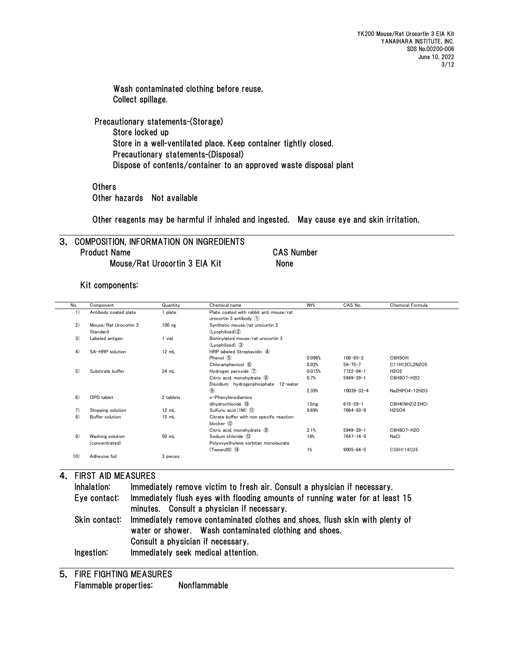Wash contaminated clothing before reuse. Collect spillage.

Precautionary statements-(Storage) Store locked up Store in a well-ventilated place. Keep container tightly closed. Precautionary statements-(Disposal) Dispose of contents/container to an approved waste disposal plant

**Others** Other hazards Not available

Other reagents may be harmful if inhaled and ingested. May cause eye and skin irritation.

#### 3. COMPOSITION, INFORMATION ON INGREDIENTS Product Name CAS Number Mouse/Rat Urocortin 3 EIA Kit None

Kit components:

| No. | Component              | Quantity  | Chemical name                             | Wt%    | CAS No.          | Chemical Formula              |
|-----|------------------------|-----------|-------------------------------------------|--------|------------------|-------------------------------|
| 1)  | Antibody coated plate  | 1 plate   | Plate coated with rabbit anti mouse/rat   |        |                  |                               |
|     |                        |           | urocortin $3$ antibody $(1)$              |        |                  |                               |
| 2)  | Mouse/Rat Urocortin 3  | $100$ ng  | Synthetic mouse/rat urocortin 3           |        |                  |                               |
|     | Standard               |           | (Lyophilized) <sup>2</sup>                |        |                  |                               |
| 3)  | Labeled antigen        | 1 vial    | Biotinylated mouse/rat urocortin 3        |        |                  |                               |
|     |                        |           | (Lyophilized) 3                           |        |                  |                               |
| 4)  | SA-HRP solution        | 12 mL     | HRP labeled Streptavidin 4                |        |                  |                               |
|     |                        |           | Phenol 5                                  | 0.096% | $108 - 95 - 2$   | C6H5OH                        |
|     |                        |           | Chloramphenicol 6                         | 0.02%  | $56 - 75 - 7$    | C11H12CL2N2O5                 |
| 5)  | Substrate buffer       | 24 mL     | Hydrogen peroxide $(7)$                   | 0.015% | $7722 - 84 - 1$  | H <sub>2</sub> O <sub>2</sub> |
|     |                        |           | Citric acid. monohydrate (8)              | 0.7%   | $5949 - 29 - 1$  | C6H8O7 · H2O                  |
|     |                        |           | Disodium hydrogenphosphate 12-water       |        |                  |                               |
|     |                        |           | $\circledcirc$                            | 2.39%  | $10039 - 32 - 4$ | Na2HPO4 · 12H2O               |
| 6)  | OPD tablet             | 2 tablets | o-Phenylenediamine                        |        |                  |                               |
|     |                        |           | dihydrochloride 10                        | 13mg   | $615 - 28 - 1$   | C6H4(NH2)2·2HCI               |
| 7)  | Stopping solution      | 12 mL     | Sulfuric acid (1M) (1)                    | 9.69%  | $7664 - 93 - 9$  | <b>H2SO4</b>                  |
| 8)  | <b>Buffer solution</b> | 15 mL     | Citrate buffer with non specific reaction |        |                  |                               |
|     |                        |           | blocker 12                                |        |                  |                               |
|     |                        |           | Citric acid, monohydrate 8                | 2.1%   | $5949 - 29 - 1$  | C6H8O7 · H2O                  |
| 9)  | Washing solution       | 50 mL     | Sodium chloride (13)                      | 18%    | $7647 - 14 - 5$  | NaCl                          |
|     | (concentrated)         |           | Polyoxyethylene sorbitan monolaurate      |        |                  |                               |
|     |                        |           | $(Tween20)$ $(I)$                         | 1%     | $9005 - 64 - 5$  | C58H114O26                    |
| 10) | Adhesive foil          | 3 pieces  |                                           |        |                  |                               |
|     |                        |           |                                           |        |                  |                               |

#### 4. FIRST AID MEASURES

| Inhalation:   | Immediately remove victim to fresh air. Consult a physician if necessary.                                                   |
|---------------|-----------------------------------------------------------------------------------------------------------------------------|
| Eye contact:  | Immediately flush eyes with flooding amounts of running water for at least 15<br>minutes. Consult a physician if necessary. |
|               |                                                                                                                             |
| Skin contact: | Immediately remove contaminated clothes and shoes, flush skin with plenty of                                                |
|               | water or shower. Wash contaminated clothing and shoes.                                                                      |
|               | Consult a physician if necessary.                                                                                           |
| Ingestion:    | Immediately seek medical attention.                                                                                         |

5. FIRE FIGHTING MEASURES Flammable properties: Nonflammable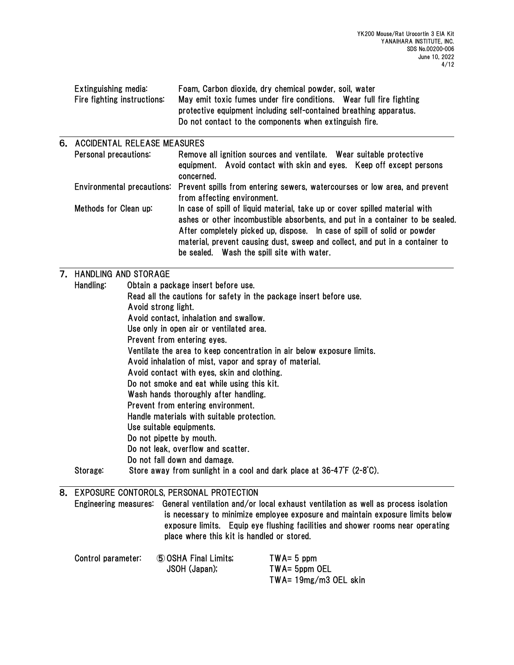| Extinguishing media:<br>Fire fighting instructions:                                                   | Foam, Carbon dioxide, dry chemical powder, soil, water<br>May emit toxic fumes under fire conditions. Wear full fire fighting<br>protective equipment including self-contained breathing apparatus.<br>Do not contact to the components when extinguish fire.                                                                                                          |  |  |  |  |  |
|-------------------------------------------------------------------------------------------------------|------------------------------------------------------------------------------------------------------------------------------------------------------------------------------------------------------------------------------------------------------------------------------------------------------------------------------------------------------------------------|--|--|--|--|--|
| 6. ACCIDENTAL RELEASE MEASURES                                                                        |                                                                                                                                                                                                                                                                                                                                                                        |  |  |  |  |  |
| Personal precautions:                                                                                 | Remove all ignition sources and ventilate. Wear suitable protective<br>equipment. Avoid contact with skin and eyes. Keep off except persons<br>concerned.                                                                                                                                                                                                              |  |  |  |  |  |
| Environmental precautions:                                                                            | Prevent spills from entering sewers, watercourses or low area, and prevent<br>from affecting environment.                                                                                                                                                                                                                                                              |  |  |  |  |  |
| Methods for Clean up:                                                                                 | In case of spill of liquid material, take up or cover spilled material with<br>ashes or other incombustible absorbents, and put in a container to be sealed.<br>After completely picked up, dispose. In case of spill of solid or powder<br>material, prevent causing dust, sweep and collect, and put in a container to<br>be sealed. Wash the spill site with water. |  |  |  |  |  |
| 7. HANDLING AND STORAGE                                                                               |                                                                                                                                                                                                                                                                                                                                                                        |  |  |  |  |  |
|                                                                                                       | Handling:<br>Obtain a package insert before use.                                                                                                                                                                                                                                                                                                                       |  |  |  |  |  |
| Read all the cautions for safety in the package insert before use.                                    |                                                                                                                                                                                                                                                                                                                                                                        |  |  |  |  |  |
| Avoid strong light.                                                                                   |                                                                                                                                                                                                                                                                                                                                                                        |  |  |  |  |  |
| Avoid contact, inhalation and swallow.                                                                |                                                                                                                                                                                                                                                                                                                                                                        |  |  |  |  |  |
| Use only in open air or ventilated area.                                                              |                                                                                                                                                                                                                                                                                                                                                                        |  |  |  |  |  |
| Prevent from entering eyes.<br>Ventilate the area to keep concentration in air below exposure limits. |                                                                                                                                                                                                                                                                                                                                                                        |  |  |  |  |  |
| Avoid inhalation of mist, vapor and spray of material.                                                |                                                                                                                                                                                                                                                                                                                                                                        |  |  |  |  |  |
| Avoid contact with eyes, skin and clothing.                                                           |                                                                                                                                                                                                                                                                                                                                                                        |  |  |  |  |  |
| Do not smoke and eat while using this kit.                                                            |                                                                                                                                                                                                                                                                                                                                                                        |  |  |  |  |  |
| Wash hands thoroughly after handling.                                                                 |                                                                                                                                                                                                                                                                                                                                                                        |  |  |  |  |  |
| Prevent from entering environment.                                                                    |                                                                                                                                                                                                                                                                                                                                                                        |  |  |  |  |  |
| Handle materials with suitable protection.                                                            |                                                                                                                                                                                                                                                                                                                                                                        |  |  |  |  |  |
| Use suitable equipments.                                                                              |                                                                                                                                                                                                                                                                                                                                                                        |  |  |  |  |  |
| Do not pipette by mouth.                                                                              |                                                                                                                                                                                                                                                                                                                                                                        |  |  |  |  |  |
| Do not leak, overflow and scatter.                                                                    |                                                                                                                                                                                                                                                                                                                                                                        |  |  |  |  |  |
| Do not fall down and damage.                                                                          |                                                                                                                                                                                                                                                                                                                                                                        |  |  |  |  |  |
| Storage:                                                                                              | Store away from sunlight in a cool and dark place at 36-47°F (2-8°C).                                                                                                                                                                                                                                                                                                  |  |  |  |  |  |
| 8. EXPOSURE CONTOROLS, PERSONAL PROTECTION                                                            |                                                                                                                                                                                                                                                                                                                                                                        |  |  |  |  |  |

Engineering measures: General ventilation and/or local exhaust ventilation as well as process isolation is necessary to minimize employee exposure and maintain exposure limits below exposure limits. Equip eye flushing facilities and shower rooms near operating place where this kit is handled or stored.

| Control parameter: | <b>5 OSHA Final Limits:</b> | $TWA = 5$ ppm         |
|--------------------|-----------------------------|-----------------------|
|                    | JSOH (Japan);               | TWA= 5ppm OEL         |
|                    |                             | TWA= 19mg/m3 OEL skin |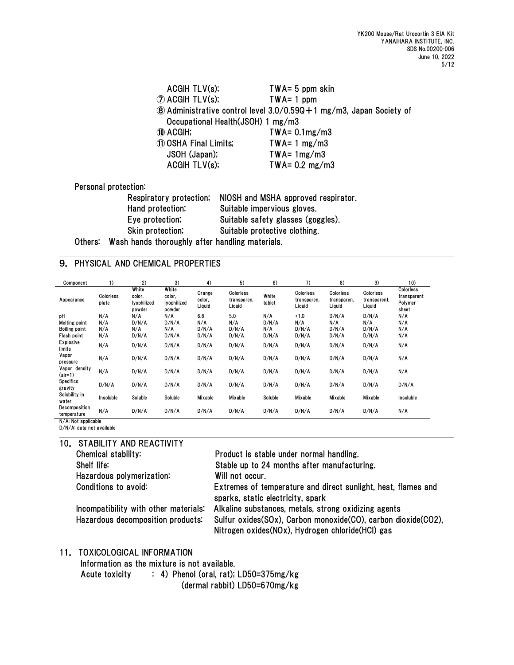| ACGHTLV(s);<br>$\mathcal{D}$ acgih tlv(s); | $TWA = 5$ ppm skin<br>$TWA = 1$ ppm                                         |
|--------------------------------------------|-----------------------------------------------------------------------------|
|                                            | <b>8</b> Administrative control level 3.0/0.590 + 1 mg/m3, Japan Society of |
| Occupational Health (JSOH) 1 mg/m3         |                                                                             |
| 10 ACGIH;                                  | $TWA = 0.1mg/m3$                                                            |
| 11 OSHA Final Limits;                      | TWA= $1 \text{ mg/m3}$                                                      |
| JSOH (Japan);                              | $TWA = 1mg/m3$                                                              |
| ACGIH TLV(s);                              | TWA= $0.2 \text{ mg/m3}$                                                    |
|                                            |                                                                             |

Personal protection:

| Respiratory protection; | NIOSH and MSHA approved respirator. |
|-------------------------|-------------------------------------|
| Hand protection;        | Suitable impervious gloves.         |
| Eye protection;         | Suitable safety glasses (goggles).  |
| Skin protection;        | Suitable protective clothing.       |
|                         |                                     |

Others: Wash hands thoroughly after handling materials.

#### 9. PHYSICAL AND CHEMICAL PROPERTIES

| Component                    | 1)                 | 2)                                       | 3)                                       | 4)                         | 5)                                 | 6)              | 7)                                 | 8)                                 | 9)                                  | 10)                                          |
|------------------------------|--------------------|------------------------------------------|------------------------------------------|----------------------------|------------------------------------|-----------------|------------------------------------|------------------------------------|-------------------------------------|----------------------------------------------|
| Appearance                   | Colorless<br>plate | White<br>color.<br>lyophilized<br>powder | White<br>color,<br>lyophilized<br>powder | Orange<br>color.<br>Liquid | Colorless<br>transparen,<br>Liquid | White<br>tablet | Colorless<br>transparen,<br>Liguid | Colorless<br>transparen,<br>Liquid | Colorless<br>transparent,<br>Liquid | Colorless<br>transparent<br>Polymer<br>sheet |
| pH                           | N/A                | N/A                                      | N/A                                      | 6.8                        | 5.0                                | N/A             | <1.0                               | D/N/A                              | D/N/A                               | N/A                                          |
| Melting point                | N/A                | D/N/A                                    | D/N/A                                    | N/A                        | N/A                                | D/N/A           | N/A                                | N/A                                | N/A                                 | N/A                                          |
| <b>Boiling point</b>         | N/A                | N/A                                      | N/A                                      | D/N/A                      | D/N/A                              | N/A             | D/N/A                              | D/N/A                              | D/N/A                               | N/A                                          |
| Flash point                  | N/A                | D/N/A                                    | D/N/A                                    | D/N/A                      | D/N/A                              | D/N/A           | D/N/A                              | D/N/A                              | D/N/A                               | N/A                                          |
| Explosive<br>limits          | N/A                | D/N/A                                    | D/N/A                                    | D/N/A                      | D/N/A                              | D/N/A           | D/N/A                              | D/N/A                              | D/N/A                               | N/A                                          |
| Vapor<br>pressure            | N/A                | D/N/A                                    | D/N/A                                    | D/N/A                      | D/N/A                              | D/N/A           | D/N/A                              | D/N/A                              | D/N/A                               | N/A                                          |
| Vapor density<br>$air=1)$    | N/A                | D/N/A                                    | D/N/A                                    | D/N/A                      | D/N/A                              | D/N/A           | D/N/A                              | D/N/A                              | D/N/A                               | N/A                                          |
| <b>Specifics</b><br>gravity  | D/N/A              | D/N/A                                    | D/N/A                                    | D/N/A                      | D/N/A                              | D/N/A           | D/N/A                              | D/N/A                              | D/N/A                               | D/N/A                                        |
| Solubility in<br>water       | Insoluble          | Soluble                                  | Soluble                                  | Mixable                    | Mixable                            | Soluble         | Mixable                            | Mixable                            | Mixable                             | Insoluble                                    |
| Decomposition<br>temperature | N/A                | D/N/A                                    | D/N/A                                    | D/N/A                      | D/N/A                              | D/N/A           | D/N/A                              | D/N/A                              | D/N/A                               | N/A                                          |

N/A: Not applicable

D/N/A: data not available 10. STABILITY AND REACTIVITY

| Chemical stability:                                                        | Product is stable under normal handling.                                                                                                                                  |
|----------------------------------------------------------------------------|---------------------------------------------------------------------------------------------------------------------------------------------------------------------------|
| Shelf life:                                                                | Stable up to 24 months after manufacturing.                                                                                                                               |
| Hazardous polymerization:                                                  | Will not occur.                                                                                                                                                           |
| Conditions to avoid:                                                       | Extremes of temperature and direct sunlight, heat, flames and<br>sparks, static electricity, spark                                                                        |
| Incompatibility with other materials:<br>Hazardous decomposition products: | Alkaline substances, metals, strong oxidizing agents<br>Sulfur oxides(SOx), Carbon monoxide(CO), carbon dioxide(CO2),<br>Nitrogen oxides(NOx), Hydrogen chloride(HCl) gas |

# 11. TOXICOLOGICAL INFORMATION

Information as the mixture is not available.

Acute toxicity : 4) Phenol (oral, rat); LD50=375mg/kg

(dermal rabbit) LD50=670mg/kg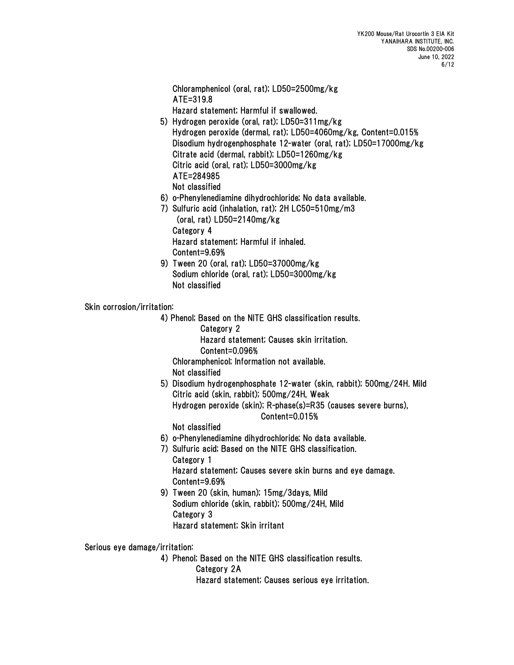Chloramphenicol (oral, rat); LD50=2500mg/kg ATE=319.8

Hazard statement; Harmful if swallowed.

- 5) Hydrogen peroxide (oral, rat); LD50=311mg/kg Hydrogen peroxide (dermal, rat); LD50=4060mg/kg, Content=0.015% Disodium hydrogenphosphate 12-water (oral, rat); LD50=17000mg/kg Citrate acid (dermal, rabbit); LD50=1260mg/kg Citric acid (oral, rat); LD50=3000mg/kg ATE=284985
	- Not classified
- 6) o-Phenylenediamine dihydrochloride; No data available.
- 7) Sulfuric acid (inhalation, rat); 2H LC50=510mg/m3 (oral, rat) LD50=2140mg/kg Category 4 Hazard statement; Harmful if inhaled. Content=9.69%
- 9) Tween 20 (oral, rat); LD50=37000mg/kg Sodium chloride (oral, rat); LD50=3000mg/kg Not classified

#### Skin corrosion/irritation:

4) Phenol; Based on the NITE GHS classification results.

Category 2

Hazard statement; Causes skin irritation.

Content=0.096%

Chloramphenicol; Information not available.

Not classified

5) Disodium hydrogenphosphate 12-water (skin, rabbit); 500mg/24H. Mild Citric acid (skin, rabbit); 500mg/24H, Weak Hydrogen peroxide (skin); R-phase(s)=R35 (causes severe burns), Content=0.015%

Not classified

- 6) o-Phenylenediamine dihydrochloride; No data available.
- 7) Sulfuric acid; Based on the NITE GHS classification. Category 1 Hazard statement; Causes severe skin burns and eye damage. Content=9.69%
- 9) Tween 20 (skin, human); 15mg/3days, Mild Sodium chloride (skin, rabbit); 500mg/24H, Mild Category 3 Hazard statement; Skin irritant

Serious eye damage/irritation:

4) Phenol; Based on the NITE GHS classification results.

Category 2A

Hazard statement; Causes serious eye irritation.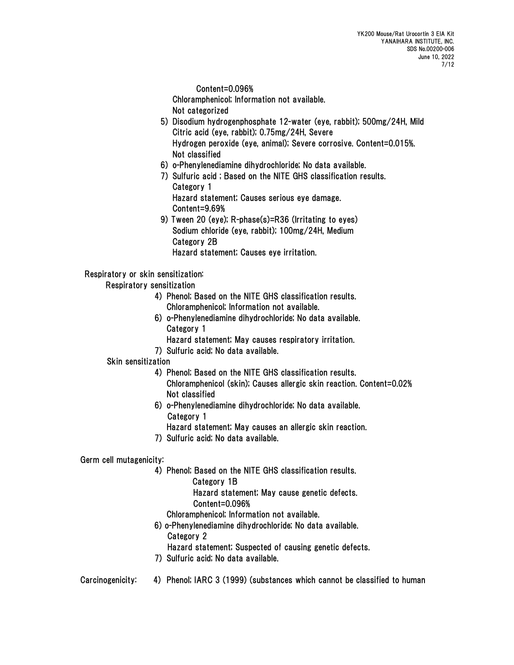Content=0.096%

Chloramphenicol; Information not available.

- Not categorized
- 5) Disodium hydrogenphosphate 12-water (eye, rabbit); 500mg/24H, Mild Citric acid (eye, rabbit); 0.75mg/24H, Severe Hydrogen peroxide (eye, animal); Severe corrosive. Content=0.015%. Not classified
- 6) o-Phenylenediamine dihydrochloride; No data available.
- 7) Sulfuric acid ; Based on the NITE GHS classification results. Category 1 Hazard statement; Causes serious eye damage. Content=9.69%
- 9) Tween 20 (eye); R-phase(s)=R36 (Irritating to eyes) Sodium chloride (eye, rabbit); 100mg/24H, Medium Category 2B Hazard statement; Causes eye irritation.

### Respiratory or skin sensitization:

Respiratory sensitization

- 4) Phenol; Based on the NITE GHS classification results. Chloramphenicol; Information not available.
- 6) o-Phenylenediamine dihydrochloride; No data available. Category 1
	- Hazard statement; May causes respiratory irritation.
- 7) Sulfuric acid; No data available.

#### Skin sensitization

- 4) Phenol; Based on the NITE GHS classification results. Chloramphenicol (skin); Causes allergic skin reaction. Content=0.02% Not classified
- 6) o-Phenylenediamine dihydrochloride; No data available. Category 1
	- Hazard statement; May causes an allergic skin reaction.
- 7) Sulfuric acid; No data available.

## Germ cell mutagenicity:

- 4) Phenol; Based on the NITE GHS classification results.
	- Category 1B
		- Hazard statement; May cause genetic defects. Content=0.096%
	- Chloramphenicol; Information not available.
- 6) o-Phenylenediamine dihydrochloride; No data available.
	- Category 2
	- Hazard statement; Suspected of causing genetic defects.
- 7) Sulfuric acid; No data available.
- Carcinogenicity: 4) Phenol; IARC 3 (1999) (substances which cannot be classified to human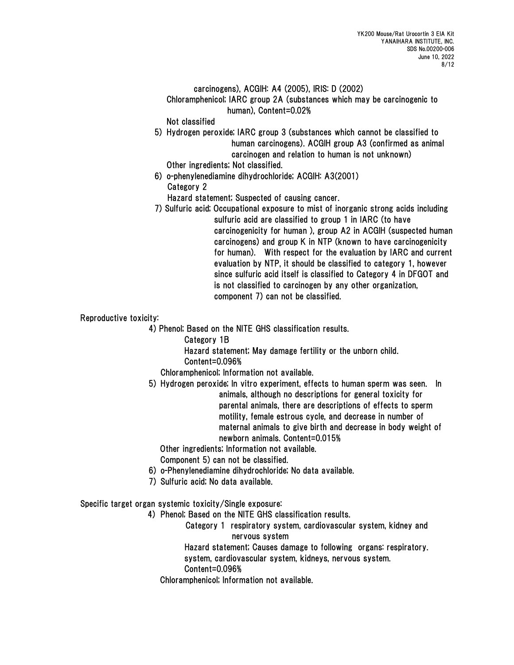#### carcinogens), ACGIH: A4 (2005), IRIS: D (2002)

 Chloramphenicol; IARC group 2A (substances which may be carcinogenic to human), Content=0.02%

Not classified

 5) Hydrogen peroxide; IARC group 3 (substances which cannot be classified to human carcinogens). ACGIH group A3 (confirmed as animal carcinogen and relation to human is not unknown)

Other ingredients; Not classified.

6) o-phenylenediamine dihydrochloride; ACGIH: A3(2001) Category 2

Hazard statement; Suspected of causing cancer.

7) Sulfuric acid; Occupational exposure to mist of inorganic strong acids including sulfuric acid are classified to group 1 in IARC (to have carcinogenicity for human ), group A2 in ACGIH (suspected human carcinogens) and group K in NTP (known to have carcinogenicity for human). With respect for the evaluation by IARC and current evaluation by NTP, it should be classified to category 1, however since sulfuric acid itself is classified to Category 4 in DFGOT and is not classified to carcinogen by any other organization, component 7) can not be classified.

### Reproductive toxicity:

4) Phenol; Based on the NITE GHS classification results.

Category 1B

Hazard statement; May damage fertility or the unborn child.

Content=0.096%

Chloramphenicol; Information not available.

5) Hydrogen peroxide; In vitro experiment, effects to human sperm was seen. In animals, although no descriptions for general toxicity for parental animals, there are descriptions of effects to sperm motility, female estrous cycle, and decrease in number of maternal animals to give birth and decrease in body weight of newborn animals. Content=0.015%

Other ingredients; Information not available.

Component 5) can not be classified.

- 6) o-Phenylenediamine dihydrochloride; No data available.
- 7) Sulfuric acid; No data available.

Specific target organ systemic toxicity/Single exposure:

4) Phenol; Based on the NITE GHS classification results.

Category 1 respiratory system, cardiovascular system, kidney and nervous system

 Hazard statement; Causes damage to following organs: respiratory. system, cardiovascular system, kidneys, nervous system.

Content=0.096%

Chloramphenicol; Information not available.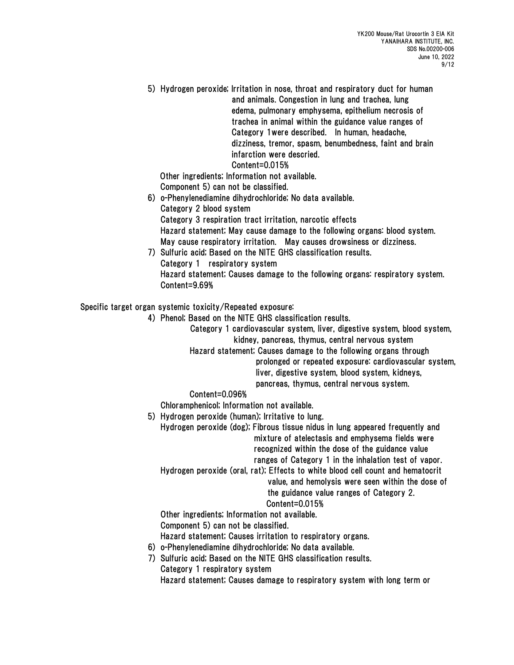5) Hydrogen peroxide; Irritation in nose, throat and respiratory duct for human and animals. Congestion in lung and trachea, lung edema, pulmonary emphysema, epithelium necrosis of trachea in animal within the guidance value ranges of Category 1were described. In human, headache, dizziness, tremor, spasm, benumbedness, faint and brain infarction were descried. Content=0.015%

 Other ingredients; Information not available. Component 5) can not be classified.

- 6) o-Phenylenediamine dihydrochloride; No data available. Category 2 blood system Category 3 respiration tract irritation, narcotic effects Hazard statement; May cause damage to the following organs: blood system. May cause respiratory irritation. May causes drowsiness or dizziness.
- 7) Sulfuric acid; Based on the NITE GHS classification results. Category 1 respiratory system Hazard statement; Causes damage to the following organs: respiratory system. Content=9.69%

Specific target organ systemic toxicity/Repeated exposure:

- 4) Phenol; Based on the NITE GHS classification results.
	- Category 1 cardiovascular system, liver, digestive system, blood system, kidney, pancreas, thymus, central nervous system
	- Hazard statement; Causes damage to the following organs through
		- prolonged or repeated exposure: cardiovascular system, liver, digestive system, blood system, kidneys, pancreas, thymus, central nervous system.

#### Content=0.096%

Chloramphenicol; Information not available.

5) Hydrogen peroxide (human); Irritative to lung.

 Hydrogen peroxide (dog); Fibrous tissue nidus in lung appeared frequently and mixture of atelectasis and emphysema fields were recognized within the dose of the guidance value ranges of Category 1 in the inhalation test of vapor.

Hydrogen peroxide (oral, rat); Effects to white blood cell count and hematocrit

value, and hemolysis were seen within the dose of

the guidance value ranges of Category 2.

## Content=0.015%

 Other ingredients; Information not available. Component 5) can not be classified.

Hazard statement; Causes irritation to respiratory organs.

- 6) o-Phenylenediamine dihydrochloride; No data available.
- 7) Sulfuric acid; Based on the NITE GHS classification results. Category 1 respiratory system

Hazard statement; Causes damage to respiratory system with long term or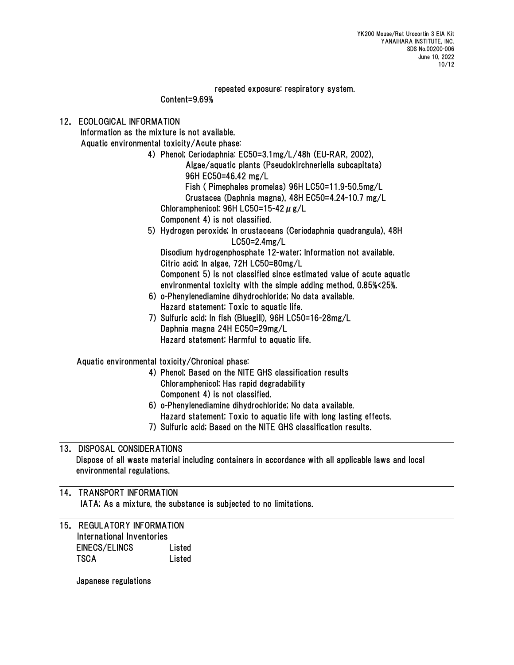repeated exposure: respiratory system.

Content=9.69%

12. ECOLOGICAL INFORMATION Information as the mixture is not available. Aquatic environmental toxicity/Acute phase: 4) Phenol; Ceriodaphnia: EC50=3.1mg/L/48h (EU-RAR, 2002), Algae/aquatic plants (Pseudokirchneriella subcapitata) 96H EC50=46.42 mg/L Fish ( Pimephales promelas) 96H LC50=11.9-50.5mg/L Crustacea (Daphnia magna), 48H EC50=4.24-10.7 mg/L Chloramphenicol; 96H LC50=15-42  $\mu$  g/L Component 4) is not classified. 5) Hydrogen peroxide; In crustaceans (Ceriodaphnia quadrangula), 48H LC50=2.4mg/L Disodium hydrogenphosphate 12-water; Information not available. Citric acid; In algae, 72H LC50=80mg/L Component 5) is not classified since estimated value of acute aquatic environmental toxicity with the simple adding method, 0.85%<25%. 6) o-Phenylenediamine dihydrochloride; No data available. Hazard statement; Toxic to aquatic life. 7) Sulfuric acid; In fish (Bluegill), 96H LC50=16-28mg/L Daphnia magna 24H EC50=29mg/L Hazard statement; Harmful to aquatic life. Aquatic environmental toxicity/Chronical phase: 4) Phenol; Based on the NITE GHS classification results Chloramphenicol; Has rapid degradability Component 4) is not classified. 6) o-Phenylenediamine dihydrochloride; No data available. Hazard statement; Toxic to aquatic life with long lasting effects. 7) Sulfuric acid; Based on the NITE GHS classification results. 13. DISPOSAL CONSIDERATIONS Dispose of all waste material including containers in accordance with all applicable laws and local environmental regulations. 14. TRANSPORT INFORMATION IATA; As a mixture, the substance is subjected to no limitations. 15. REGULATORY INFORMATION

International Inventories EINECS/ELINCS Listed TSCA Listed

Japanese regulations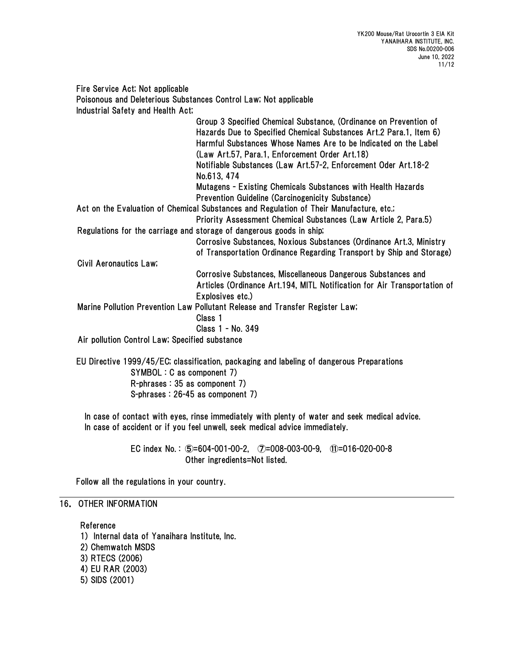Fire Service Act; Not applicable Poisonous and Deleterious Substances Control Law; Not applicable Industrial Safety and Health Act; Group 3 Specified Chemical Substance, (Ordinance on Prevention of Hazards Due to Specified Chemical Substances Art.2 Para.1, Item 6) Harmful Substances Whose Names Are to be Indicated on the Label (Law Art.57, Para.1, Enforcement Order Art.18) Notifiable Substances (Law Art.57-2, Enforcement Oder Art.18-2 No.613, 474 Mutagens - Existing Chemicals Substances with Health Hazards Prevention Guideline (Carcinogenicity Substance) Act on the Evaluation of Chemical Substances and Regulation of Their Manufacture, etc.; Priority Assessment Chemical Substances (Law Article 2, Para.5) Regulations for the carriage and storage of dangerous goods in ship; Corrosive Substances, Noxious Substances (Ordinance Art.3, Ministry of Transportation Ordinance Regarding Transport by Ship and Storage) Civil Aeronautics Law; Corrosive Substances, Miscellaneous Dangerous Substances and Articles (Ordinance Art.194, MITL Notification for Air Transportation of Explosives etc.) Marine Pollution Prevention Law Pollutant Release and Transfer Register Law; Class 1 Class 1 - No. 349 Air pollution Control Law; Specified substance EU Directive 1999/45/EC; classification, packaging and labeling of dangerous Preparations

SYMBOL : C as component 7) R-phrases : 35 as component 7) S-phrases : 26-45 as component 7)

In case of contact with eyes, rinse immediately with plenty of water and seek medical advice. In case of accident or if you feel unwell, seek medical advice immediately.

> EC index No. : ⑤=604-001-00-2, ⑦=008-003-00-9, ⑪=016-020-00-8 Other ingredients=Not listed.

Follow all the regulations in your country.

## 16. OTHER INFORMATION

Reference

1) Internal data of Yanaihara Institute, Inc. 2) Chemwatch MSDS 3) RTECS (2006) 4) EU RAR (2003) 5) SIDS (2001)